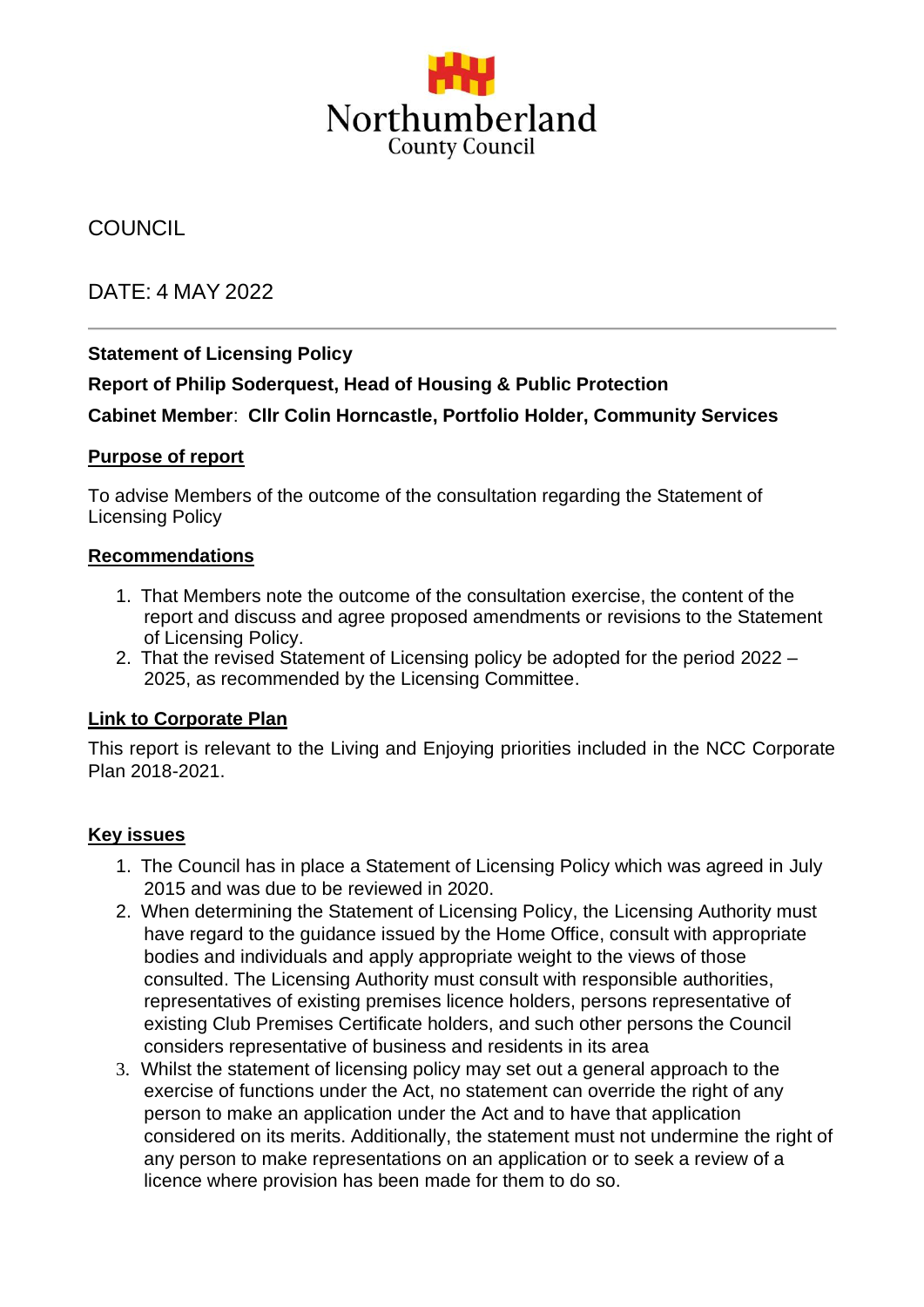

# **COUNCIL**

# DATE: 4 MAY 2022

## **Statement of Licensing Policy**

## **Report of Philip Soderquest, Head of Housing & Public Protection**

#### **Cabinet Member**: **Cllr Colin Horncastle, Portfolio Holder, Community Services**

#### **Purpose of report**

To advise Members of the outcome of the consultation regarding the Statement of Licensing Policy

#### **Recommendations**

- 1. That Members note the outcome of the consultation exercise, the content of the report and discuss and agree proposed amendments or revisions to the Statement of Licensing Policy.
- 2. That the revised Statement of Licensing policy be adopted for the period 2022 2025, as recommended by the Licensing Committee.

#### **Link to Corporate Plan**

This report is relevant to the Living and Enjoying priorities included in the NCC Corporate Plan 2018-2021.

#### **Key issues**

- 1. The Council has in place a Statement of Licensing Policy which was agreed in July 2015 and was due to be reviewed in 2020.
- 2. When determining the Statement of Licensing Policy, the Licensing Authority must have regard to the guidance issued by the Home Office, consult with appropriate bodies and individuals and apply appropriate weight to the views of those consulted. The Licensing Authority must consult with responsible authorities, representatives of existing premises licence holders, persons representative of existing Club Premises Certificate holders, and such other persons the Council considers representative of business and residents in its area
- 3. Whilst the statement of licensing policy may set out a general approach to the exercise of functions under the Act, no statement can override the right of any person to make an application under the Act and to have that application considered on its merits. Additionally, the statement must not undermine the right of any person to make representations on an application or to seek a review of a licence where provision has been made for them to do so.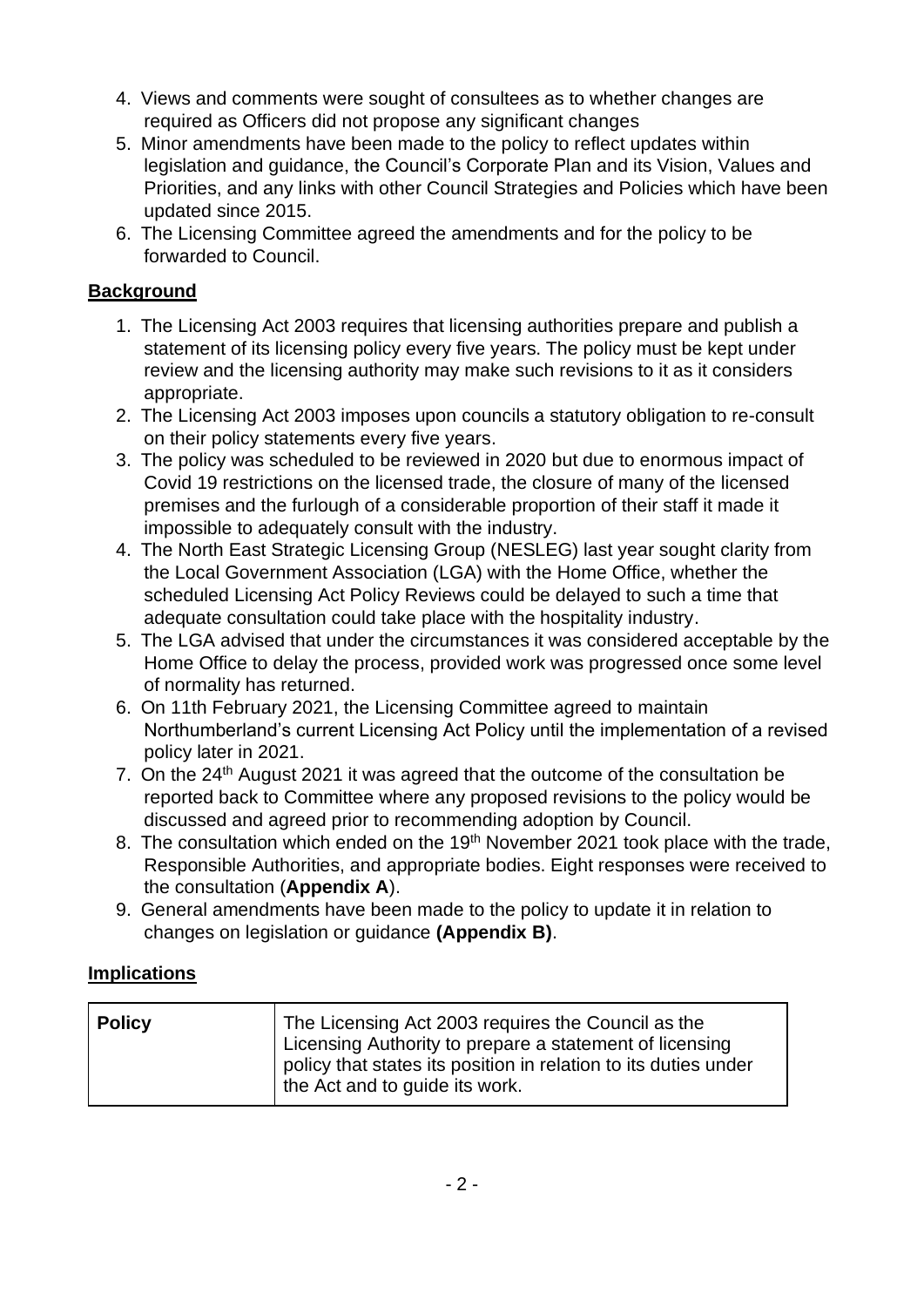- 4. Views and comments were sought of consultees as to whether changes are required as Officers did not propose any significant changes
- 5. Minor amendments have been made to the policy to reflect updates within legislation and guidance, the Council's Corporate Plan and its Vision, Values and Priorities, and any links with other Council Strategies and Policies which have been updated since 2015.
- 6. The Licensing Committee agreed the amendments and for the policy to be forwarded to Council.

# **Background**

- 1. The Licensing Act 2003 requires that licensing authorities prepare and publish a statement of its licensing policy every five years. The policy must be kept under review and the licensing authority may make such revisions to it as it considers appropriate.
- 2. The Licensing Act 2003 imposes upon councils a statutory obligation to re-consult on their policy statements every five years.
- 3. The policy was scheduled to be reviewed in 2020 but due to enormous impact of Covid 19 restrictions on the licensed trade, the closure of many of the licensed premises and the furlough of a considerable proportion of their staff it made it impossible to adequately consult with the industry.
- 4. The North East Strategic Licensing Group (NESLEG) last year sought clarity from the Local Government Association (LGA) with the Home Office, whether the scheduled Licensing Act Policy Reviews could be delayed to such a time that adequate consultation could take place with the hospitality industry.
- 5. The LGA advised that under the circumstances it was considered acceptable by the Home Office to delay the process, provided work was progressed once some level of normality has returned.
- 6. On 11th February 2021, the Licensing Committee agreed to maintain Northumberland's current Licensing Act Policy until the implementation of a revised policy later in 2021.
- 7. On the 24<sup>th</sup> August 2021 it was agreed that the outcome of the consultation be reported back to Committee where any proposed revisions to the policy would be discussed and agreed prior to recommending adoption by Council.
- 8. The consultation which ended on the 19<sup>th</sup> November 2021 took place with the trade, Responsible Authorities, and appropriate bodies. Eight responses were received to the consultation (**Appendix A**).
- 9. General amendments have been made to the policy to update it in relation to changes on legislation or guidance **(Appendix B)**.

## **Implications**

| <b>Policy</b> | The Licensing Act 2003 requires the Council as the<br>Licensing Authority to prepare a statement of licensing<br>policy that states its position in relation to its duties under<br>the Act and to guide its work. |
|---------------|--------------------------------------------------------------------------------------------------------------------------------------------------------------------------------------------------------------------|
|---------------|--------------------------------------------------------------------------------------------------------------------------------------------------------------------------------------------------------------------|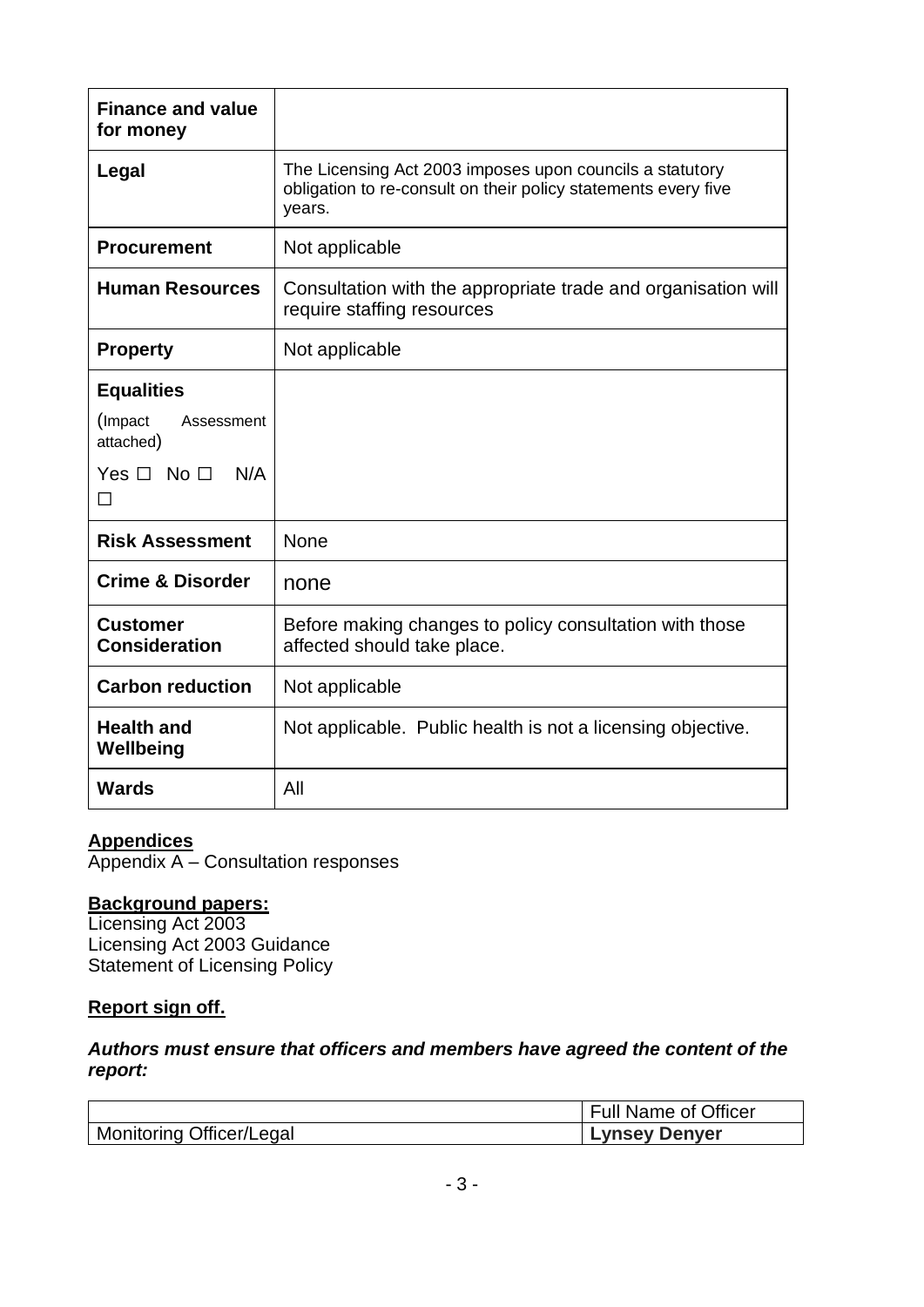| <b>Finance and value</b><br>for money                                                        |                                                                                                                                      |
|----------------------------------------------------------------------------------------------|--------------------------------------------------------------------------------------------------------------------------------------|
| Legal                                                                                        | The Licensing Act 2003 imposes upon councils a statutory<br>obligation to re-consult on their policy statements every five<br>years. |
| <b>Procurement</b>                                                                           | Not applicable                                                                                                                       |
| <b>Human Resources</b>                                                                       | Consultation with the appropriate trade and organisation will<br>require staffing resources                                          |
| <b>Property</b>                                                                              | Not applicable                                                                                                                       |
| <b>Equalities</b><br>(Impact)<br>Assessment<br>attached)<br>Yes $\Box$ No $\Box$<br>N/A<br>П |                                                                                                                                      |
| <b>Risk Assessment</b>                                                                       | None                                                                                                                                 |
| <b>Crime &amp; Disorder</b>                                                                  | none                                                                                                                                 |
| <b>Customer</b><br><b>Consideration</b>                                                      | Before making changes to policy consultation with those<br>affected should take place.                                               |
| <b>Carbon reduction</b>                                                                      | Not applicable                                                                                                                       |
| <b>Health and</b><br>Wellbeing                                                               | Not applicable. Public health is not a licensing objective.                                                                          |
| <b>Wards</b>                                                                                 | All                                                                                                                                  |

#### **Appendices**

Appendix A – Consultation responses

#### **Background papers:**

Licensing Act 2003 Licensing Act 2003 Guidance Statement of Licensing Policy

#### **Report sign off.**

## *Authors must ensure that officers and members have agreed the content of the report:*

|                                 | Full Name of Officer |
|---------------------------------|----------------------|
| <b>Monitoring Officer/Legal</b> | Lynsey Denyer        |